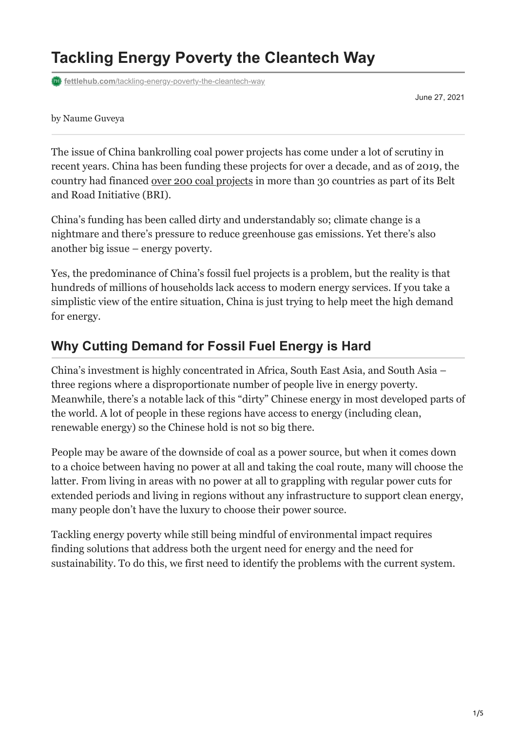# **Tackling Energy Poverty the Cleantech Way**

**fettlehub.com**[/tackling-energy-poverty-the-cleantech-way](https://fettlehub.com/tackling-energy-poverty-the-cleantech-way/)

June 27, 2021

#### by Naume Guveya

The issue of China bankrolling coal power projects has come under a lot of scrutiny in recent years. China has been funding these projects for over a decade, and as of 2019, the country had financed [over 200 coal projects](https://globalenergymonitor.org/projects/global-coal-plant-tracker/) in more than 30 countries as part of its Belt and Road Initiative (BRI).

China's funding has been called dirty and understandably so; climate change is a nightmare and there's pressure to reduce greenhouse gas emissions. Yet there's also another big issue – energy poverty.

Yes, the predominance of China's fossil fuel projects is a problem, but the reality is that hundreds of millions of households lack access to modern energy services. If you take a simplistic view of the entire situation, China is just trying to help meet the high demand for energy.

## **Why Cutting Demand for Fossil Fuel Energy is Hard**

China's investment is highly concentrated in Africa, South East Asia, and South Asia – three regions where a disproportionate number of people live in energy poverty. Meanwhile, there's a notable lack of this "dirty" Chinese energy in most developed parts of the world. A lot of people in these regions have access to energy (including clean, renewable energy) so the Chinese hold is not so big there.

People may be aware of the downside of coal as a power source, but when it comes down to a choice between having no power at all and taking the coal route, many will choose the latter. From living in areas with no power at all to grappling with regular power cuts for extended periods and living in regions without any infrastructure to support clean energy, many people don't have the luxury to choose their power source.

Tackling energy poverty while still being mindful of environmental impact requires finding solutions that address both the urgent need for energy and the need for sustainability. To do this, we first need to identify the problems with the current system.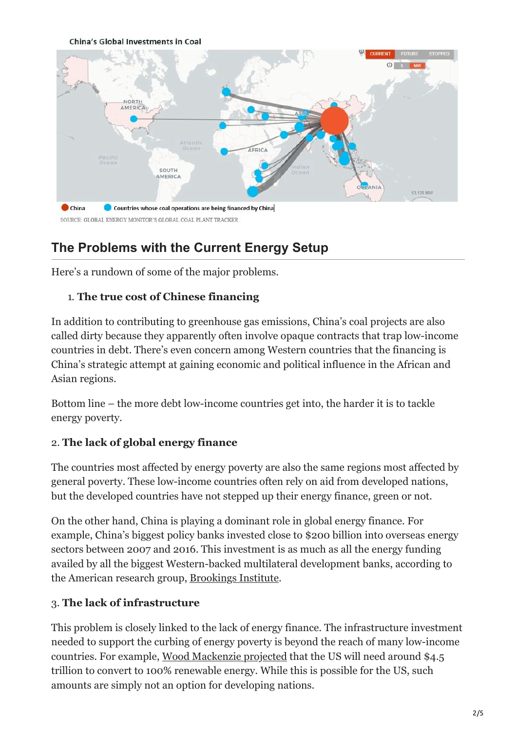**China's Global Investments in Coal** 



## **The Problems with the Current Energy Setup**

Here's a rundown of some of the major problems.

#### 1. **The true cost of Chinese financing**

In addition to contributing to greenhouse gas emissions, China's coal projects are also called dirty because they apparently often involve opaque contracts that trap low-income countries in debt. There's even concern among Western countries that the financing is China's strategic attempt at gaining economic and political influence in the African and Asian regions.

Bottom line – the more debt low-income countries get into, the harder it is to tackle energy poverty.

#### 2. **The lack of global energy finance**

The countries most affected by energy poverty are also the same regions most affected by general poverty. These low-income countries often rely on aid from developed nations, but the developed countries have not stepped up their energy finance, green or not.

On the other hand, China is playing a dominant role in global energy finance. For example, China's biggest policy banks invested close to \$200 billion into overseas energy sectors between 2007 and 2016. This investment is as much as all the energy funding availed by all the biggest Western-backed multilateral development banks, according to the American research group, [Brookings Institute](https://www.brookings.edu/research/why-the-united-states-should-compete-with-china-on-global-clean-energy-finance/).

#### 3. **The lack of infrastructure**

This problem is closely linked to the lack of energy finance. The infrastructure investment needed to support the curbing of energy poverty is beyond the reach of many low-income countries. For example, [Wood Mackenzie projected](https://www.woodmac.com/news/feature/deep-decarbonisation-the-multi-trillion-dollar-question/?utm_source=gtmarticle&utm_medium=web&utm_campaign=wmpr_griddecarb) that the US will need around \$4.5 trillion to convert to 100% renewable energy. While this is possible for the US, such amounts are simply not an option for developing nations.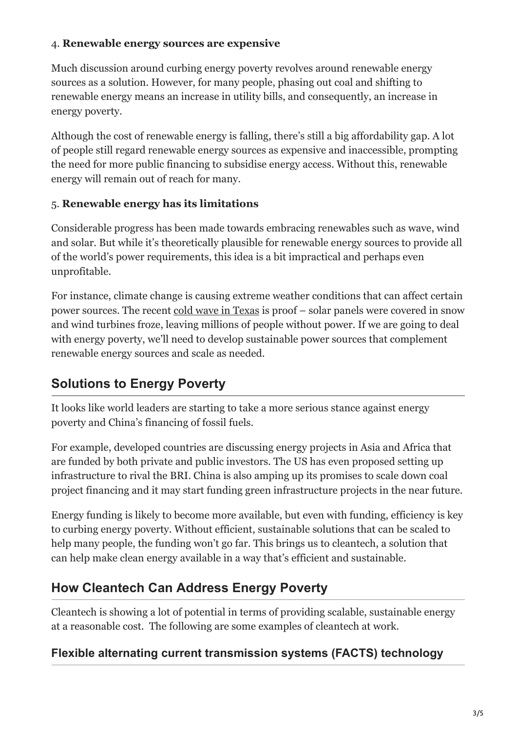#### 4. **Renewable energy sources are expensive**

Much discussion around curbing energy poverty revolves around renewable energy sources as a solution. However, for many people, phasing out coal and shifting to renewable energy means an increase in utility bills, and consequently, an increase in energy poverty.

Although the cost of renewable energy is falling, there's still a big affordability gap. A lot of people still regard renewable energy sources as expensive and inaccessible, prompting the need for more public financing to subsidise energy access. Without this, renewable energy will remain out of reach for many.

#### 5. **Renewable energy has its limitations**

Considerable progress has been made towards embracing renewables such as wave, wind and solar. But while it's theoretically plausible for renewable energy sources to provide all of the world's power requirements, this idea is a bit impractical and perhaps even unprofitable.

For instance, climate change is causing extreme weather conditions that can affect certain power sources. The recent [cold wave in Texas](https://en.wikipedia.org/wiki/February_2021_North_American_cold_wave) is proof – solar panels were covered in snow and wind turbines froze, leaving millions of people without power. If we are going to deal with energy poverty, we'll need to develop sustainable power sources that complement renewable energy sources and scale as needed.

## **Solutions to Energy Poverty**

It looks like world leaders are starting to take a more serious stance against energy poverty and China's financing of fossil fuels.

For example, developed countries are discussing energy projects in Asia and Africa that are funded by both private and public investors. The US has even proposed setting up infrastructure to rival the BRI. China is also amping up its promises to scale down coal project financing and it may start funding green infrastructure projects in the near future.

Energy funding is likely to become more available, but even with funding, efficiency is key to curbing energy poverty. Without efficient, sustainable solutions that can be scaled to help many people, the funding won't go far. This brings us to cleantech, a solution that can help make clean energy available in a way that's efficient and sustainable.

## **How Cleantech Can Address Energy Poverty**

Cleantech is showing a lot of potential in terms of providing scalable, sustainable energy at a reasonable cost. The following are some examples of cleantech at work.

#### **Flexible alternating current transmission systems (FACTS) technology**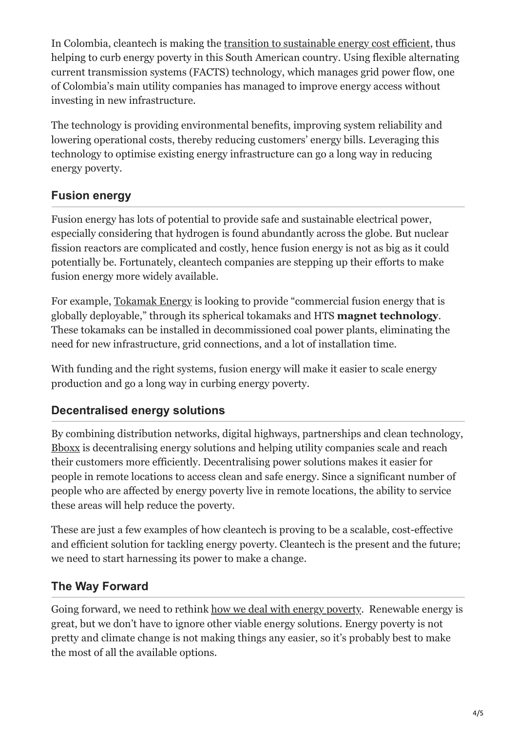In Colombia, cleantech is making the [transition to sustainable energy cost efficient](https://www.tdworld.com/test-and-measurement/article/21157520/empresas-pblicas-de-medelln-employs-flexible-alternating-current-transmission-system), thus helping to curb energy poverty in this South American country. Using flexible alternating current transmission systems (FACTS) technology, which manages grid power flow, one of Colombia's main utility companies has managed to improve energy access without investing in new infrastructure.

The technology is providing environmental benefits, improving system reliability and lowering operational costs, thereby reducing customers' energy bills. Leveraging this technology to optimise existing energy infrastructure can go a long way in reducing energy poverty.

## **Fusion energy**

Fusion energy has lots of potential to provide safe and sustainable electrical power, especially considering that hydrogen is found abundantly across the globe. But nuclear fission reactors are complicated and costly, hence fusion energy is not as big as it could potentially be. Fortunately, cleantech companies are stepping up their efforts to make fusion energy more widely available.

For example, [Tokamak Energy](https://www.tokamakenergy.co.uk/) is looking to provide "commercial fusion energy that is globally deployable," through its spherical tokamaks and HTS **magnet technology**. These tokamaks can be installed in decommissioned coal power plants, eliminating the need for new infrastructure, grid connections, and a lot of installation time.

With funding and the right systems, fusion energy will make it easier to scale energy production and go a long way in curbing energy poverty.

## **Decentralised energy solutions**

By combining distribution networks, digital highways, partnerships and clean technology, [Bboxx](https://www.bboxx.com/) is decentralising energy solutions and helping utility companies scale and reach their customers more efficiently. Decentralising power solutions makes it easier for people in remote locations to access clean and safe energy. Since a significant number of people who are affected by energy poverty live in remote locations, the ability to service these areas will help reduce the poverty.

These are just a few examples of how cleantech is proving to be a scalable, cost-effective and efficient solution for tackling energy poverty. Cleantech is the present and the future; we need to start harnessing its power to make a change.

### **The Way Forward**

Going forward, we need to rethink [how we deal with energy poverty](https://fettlehub.com/are-we-going-to-achieve-the-sdgs/). Renewable energy is great, but we don't have to ignore other viable energy solutions. Energy poverty is not pretty and climate change is not making things any easier, so it's probably best to make the most of all the available options.